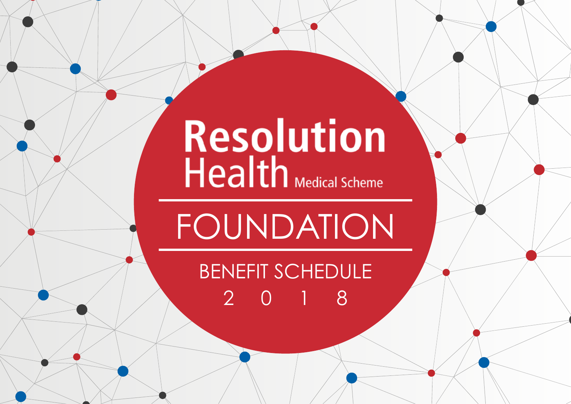# Resolution<br>Health Medical Scheme

FOUNDATION

benefit schedule 2018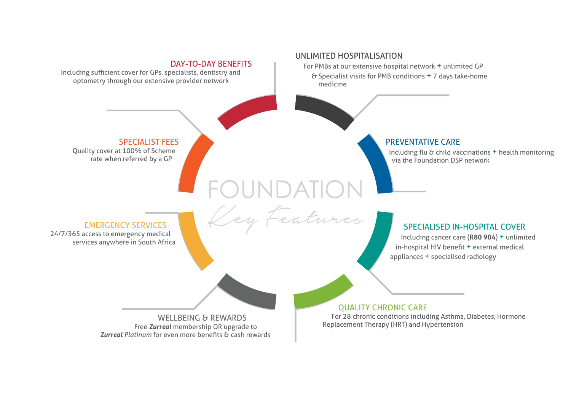#### DAY-TO-DAY BENEFITS

Including sufficient cover for GPs, specialists, dentistry and optometry through our extensive provider network

#### UNLIMITED HOSPITALISATION

Foundation

Key Features

For PMBs at our extensive hospital network + unlimited GP & Specialist visits for PMB conditions + 7 days take-home medicine

#### Specialist fees

Quality cover at 100% of Scheme rate when referred by a GP

#### PREVENTATIVE CARE

Including flu & child vaccinations + health monitoring via the Foundation DSP network

#### EMERGENCY SERVICES

24/7/365 access to emergency medical services anywhere in South Africa

#### SPECIALISED IN-HOSPITAL COVER

Including cancer care (**R80 904**) + unlimited in-hospital HIV benefit + external medical appliances + specialised radiology

WELLBEING & REWARDS Free *Zurreal* membership OR upgrade to *Zurreal Platinum* for even more benefits & cash rewards

QUALITY CHRONIC CARE For 28 chronic conditions including Asthma, Diabetes, Hormone Replacement Therapy (HRT) and Hypertension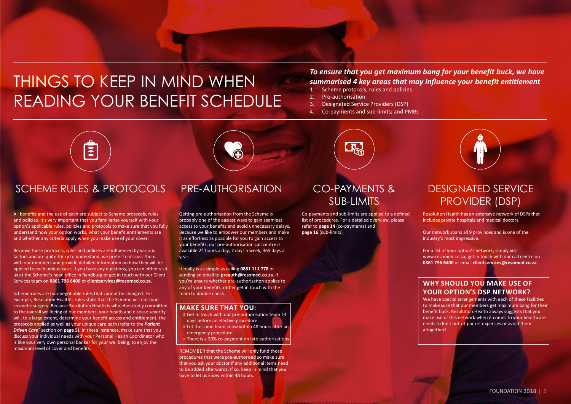### THINGS TO KEEP IN MIND WHEN reading your benefit schedule

#### *To ensure that you get maximum bang for your benefit buck, we have summarised 4 key areas that may influence your benefit entitlement*

- 1. Scheme protocols, rules and policies
- 2. Pre-authorisation
- 3. Designated Service Providers (DSP)
- 4. Co-payments and sub-limits; and PMBs



#### SCHEME RULES & PROTOCOLS PRE-AUTHORISATION CO-PAYMENTS &

All benefits and the use of each are subject to Scheme protocols, rules and policies. It's very important that you familiarise yourself with your option's applicable rules, policies and protocols to make sure that you fully understand how your option works, what your benefit entitlements are and whether any criteria apply when you make use of your cover.

Because these protocols, rules and policies are influenced by various factors and are quite tricky to understand, we prefer to discuss them with our members and provide detailed information on how they will be applied to each unique case. If you have any questions, you can either visit us at the Scheme's head office in Randburg or get in touch with our Client Services team on **0861 796 6400** or **clientservices@resomed.co.za**.

Scheme rules are non-negotiable rules that cannot be changed. For example, Resolution Health's rules state that the Scheme will not fund cosmetic surgery. Because Resolution Health is wholeheartedly committed to the overall wellbeing of our members, your health and disease severity will, to a large extent, determine your benefit access and entitlement, the protocols applied as well as your unique care path (refer to the *Patient Driven Care***™** section on **page 5**). In these instances, make sure that you discuss your individual needs with your Personal Health Coordinator who is like your very own personal banker for your wellbeing, to enjoy the maximum level of cover and benefits.

Getting pre-authorisation from the Scheme is probably one of the easiest ways to gain seamless access to your benefits and avoid unnecessary delays. Because we like to empower our members and make it as effortless as possible for you to gain access to your benefits, our pre-authorisation call centre is available 24 hours a day, 7 days a week, 365 days a year.

It really is as simple as calling **0861 111 778** or sending an email to **preauth@resomed.co.za**. If you're unsure whether pre-authorisation applies to any of your benefits, rather get in touch with the team to double check.

- **MAKE SURE THAT YOU:**<br>**WAKE** Sureauthorisation team 14 days before an elective procedure » Let the same team know within 48 hours after an
	- emergency procedure
- » There is a 20% co-payment on late authorisations

REMEMBER that the Scheme will only fund those procedures that were pre-authorised so make sure that you ask your doctor if any additional items need to be added afterwards. If so, keep in mind that you have to let us know within 48 hours.



### sub-limits

Co-payments and sub-limits are applied to a defined list of procedures. For a detailed overview, please refer to **page 14** (co-payments) and **page 16** (sub-limits)

#### Designated service **PROVIDER (DSP)**

Resolution Health has an extensive network of DSPs that includes private hospitals and medical doctors.

Our network spans all 9 provinces and is one of the industry's most impressive.

For a list of your option's network, simply visit www.resomed.co.za, get in touch with our call centre on **0861 796 6400** or email **clientservices@resomed.co.za**.

#### **WHY SHOULD YOU MAKE USE OF YOUR OPTION'S DSP NETWORK?**

We have special arrangements with each of these facilities to make sure that our members get maximum bang for their benefit buck. Resolution Health always suggests that you make use of this network when it comes to your healthcare needs to limit out-of-pocket expenses or avoid them altogether!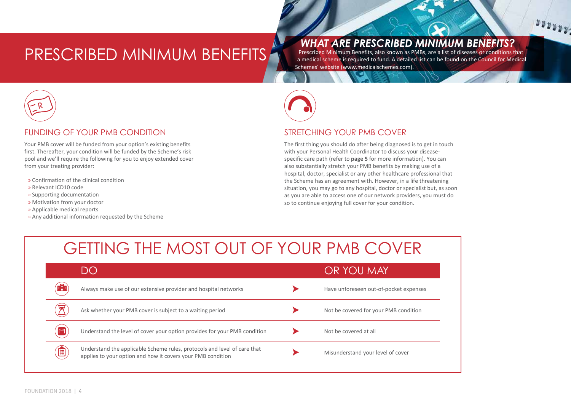### PRESCRIBED MINIMUM BENEFITS

*WHAT ARE PRESCRIBED MINIMUM BENEFITS?* 

Prescribed Minimum Benefits, also known as PMBs, are a list of diseases or conditions that a medical scheme is required to fund. A detailed list can be found on the Council for Medical Schemes' website (www.medicalschemes.com).

 $1000000$ 



#### FUNDING OF YOUR PMB CONDITION

Your PMB cover will be funded from your option's existing benefits first. Thereafter, your condition will be funded by the Scheme's risk pool and we'll require the following for you to enjoy extended cover from your treating provider:

- » Confirmation of the clinical condition
- » Relevant ICD10 code
- » Supporting documentation
- » Motivation from your doctor
- » Applicable medical reports
- » Any additional information requested by the Scheme



#### STRETCHING YOUR PMB COVER

The first thing you should do after being diagnosed is to get in touch with your Personal Health Coordinator to discuss your diseasespecific care path (refer to **page 5** for more information). You can also substantially stretch your PMB benefits by making use of a hospital, doctor, specialist or any other healthcare professional that the Scheme has an agreement with. However, in a life threatening situation, you may go to any hospital, doctor or specialist but, as soon as you are able to access one of our network providers, you must do so to continue enjoying full cover for your condition.

### GETTING THE MOST OUT OF YOUR PMB COVER

|                                | DC                                                                                                                                      | OR YOU MAY                             |
|--------------------------------|-----------------------------------------------------------------------------------------------------------------------------------------|----------------------------------------|
| <b>FRE</b>                     | Always make use of our extensive provider and hospital networks                                                                         | Have unforeseen out-of-pocket expenses |
|                                | Ask whether your PMB cover is subject to a waiting period                                                                               | Not be covered for your PMB condition  |
| $P^{\prime\prime\prime\prime}$ | Understand the level of cover your option provides for your PMB condition                                                               | Not be covered at all                  |
| 值                              | Understand the applicable Scheme rules, protocols and level of care that<br>applies to your option and how it covers your PMB condition | Misunderstand your level of cover      |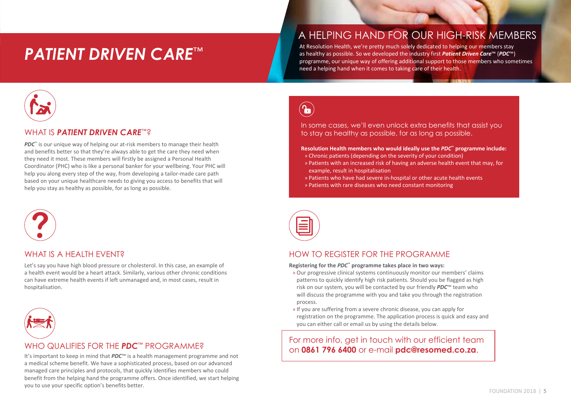### *Patient Driven Care*™

#### A helping hand for our high-risk members

At Resolution Health, we're pretty much solely dedicated to helping our members stay as healthy as possible. So we developed the industry first *Patient Driven Care*™ (*PDC*™) programme, our unique way of offering additional support to those members who sometimes need a helping hand when it comes to taking care of their health.



#### WHAT IS *PATIENT DRIVEN CARE*™?

*PDC*<sup>™</sup> is our unique way of helping our at-risk members to manage their health and benefits better so that they're always able to get the care they need when they need it most. These members will firstly be assigned a Personal Health Coordinator (PHC) who is like a personal banker for your wellbeing. Your PHC will help you along every step of the way, from developing a tailor-made care path based on your unique healthcare needs to giving you access to benefits that will help you stay as healthy as possible, for as long as possible.



#### WHAT IS A HFAITH FVFNT?

Let's say you have high blood pressure or cholesterol. In this case, an example of a health event would be a heart attack. Similarly, various other chronic conditions can have extreme health events if left unmanaged and, in most cases, result in hospitalisation.



#### WHO QUALIFIES FOR THE *PDC*™ PROGRAMME?

a medical scheme benefit. We have a sophisticated process, based on our advanced managed care principles and protocols, that quickly identifies members who could benefit from the helping hand the programme offers. Once identified, we start helping you to use your specific option's benefits better.

 $\left(\textcolor{blue}{\bullet}\right)$ 

In some cases, we'll even unlock extra benefits that assist you to stay as healthy as possible, for as long as possible.

#### **Resolution Health members who would ideally use the** *PDC***™ programme include:**

- » Chronic patients (depending on the severity of your condition)
- » Patients with an increased risk of having an adverse health event that may, for example, result in hospitalisation
- » Patients who have had severe in-hospital or other acute health events
- » Patients with rare diseases who need constant monitoring



#### HOW TO REGISTER FOR THE PROGRAMME

**Registering for the** *PDC***™ programme takes place in two ways:**

- » Our progressive clinical systems continuously monitor our members' claims patterns to quickly identify high risk patients. Should you be flagged as high risk on our system, you will be contacted by our friendly *PDC*™ team who will discuss the programme with you and take you through the registration process.
- » If you are suffering from a severe chronic disease, you can apply for registration on the programme. The application process is quick and easy and you can either call or email us by using the details below.

For more info, get in touch with our efficient team ON **ON OUR SECONDER TO A THE FDC** FROGRAIVINE?<br>It's important to keep in mind that *PDC*™ is a health management programme and not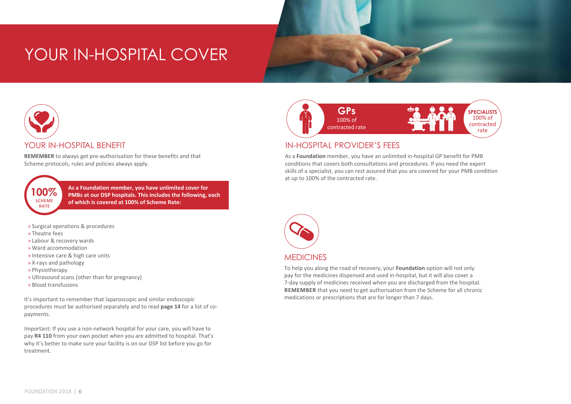### YOUR IN-HOSPITAL COVER



#### YOUR IN-HOSPITAL BENEFIT

**REMEMBER** to always get pre-authorisation for these benefits and that Scheme protocols, rules and policies always apply.

**100% Scheme rate**

**As a Foundation member, you have unlimited cover for PMBs at our DSP hospitals. This includes the following, each of which is covered at 100% of Scheme Rate:**

- » Surgical operations & procedures
- » Theatre fees
- » Labour & recovery wards
- » Ward accommodation
- » Intensive care & high care units
- » X-rays and pathology
- » Physiotherapy
- » Ultrasound scans (other than for pregnancy)
- » Blood transfusions

It's important to remember that laparoscopic and similar endoscopic procedures must be authorised separately and to read **page 14** for a list of copayments.

Important: If you use a non-network hospital for your care, you will have to pay **R4 110** from your own pocket when you are admitted to hospital. That's why it's better to make sure your facility is on our DSP list before you go for treatment.



#### IN-HOSPITAL PROVIDER'S FEES

As a **Foundation** member, you have an unlimited in-hospital GP benefit for PMB conditions that covers both consultations and procedures. If you need the expert skills of a specialist, you can rest assured that you are covered for your PMB condition at up to 100% of the contracted rate.



To help you along the road of recovery, your **Foundation** option will not only pay for the medicines dispensed and used in-hospital, but it will also cover a 7-day supply of medicines received when you are discharged from the hospital. **REMEMBER** that you need to get authorisation from the Scheme for all chronic medications or prescriptions that are for longer than 7 days.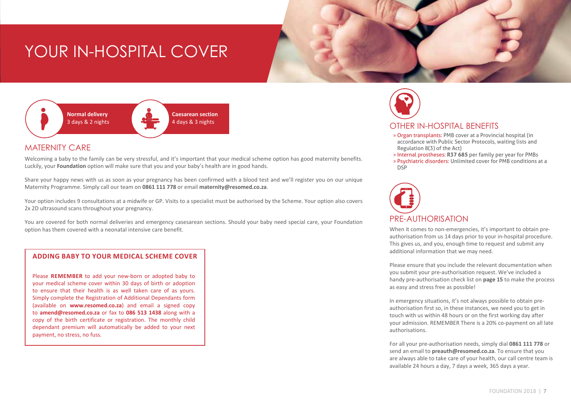### YOUR IN-HOSPITAL COVER



#### MATERNITY CARE

Welcoming a baby to the family can be very stressful, and it's important that your medical scheme option has good maternity benefits. Luckily, your **Foundation** option will make sure that you and your baby's health are in good hands.

Share your happy news with us as soon as your pregnancy has been confirmed with a blood test and we'll register you on our unique Maternity Programme. Simply call our team on **0861 111 778** or email **maternity@resomed.co.za**.

Your option includes 9 consultations at a midwife or GP. Visits to a specialist must be authorised by the Scheme. Your option also covers 2x 2D ultrasound scans throughout your pregnancy.

You are covered for both normal deliveries and emergency casesarean sections. Should your baby need special care, your Foundation option has them covered with a neonatal intensive care benefit.

#### **ADDING BABY TO YOUR MEDICAL SCHEME COVER**

Please **REMEMBER** to add your new-born or adopted baby to your medical scheme cover within 30 days of birth or adoption to ensure that their health is as well taken care of as yours. Simply complete the Registration of Additional Dependants form (available on **www.resomed.co.za**) and email a signed copy to **amend@resomed.co.za** or fax to **086 513 1438** along with a copy of the birth certificate or registration. The monthly child dependant premium will automatically be added to your next payment, no stress, no fuss.



#### OTHER IN-HOSPITAL BENEFITS

- » Organ transplants: PMB cover at a Provincial hospital (in accordance with Public Sector Protocols, waiting lists and Regulation 8(3) of the Act)
- » Internal prostheses: **R37 685** per family per year for PMBs
- » Psychiatric disorders: Unlimited cover for PMB conditions at a DSP



When it comes to non-emergencies, it's important to obtain preauthorisation from us 14 days prior to your in-hospital procedure. This gives us, and you, enough time to request and submit any additional information that we may need.

Please ensure that you include the relevant documentation when you submit your pre-authorisation request. We've included a handy pre-authorisation check list on **page 15** to make the process as easy and stress free as possible!

In emergency situations, it's not always possible to obtain preauthorisation first so, in these instances, we need you to get in touch with us within 48 hours or on the first working day after your admission. REMEMBER There is a 20% co-payment on all late authorisations.

For all your pre-authorisation needs, simply dial **0861 111 778** or send an email to **preauth@resomed.co.za**. To ensure that you are always able to take care of your health, our call centre team is available 24 hours a day, 7 days a week, 365 days a year.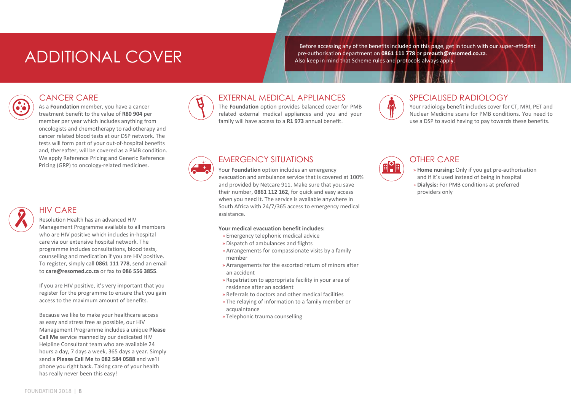### ADDITIONAL COVER

Before accessing any of the benefits included on this page, get in touch with our super-efficient pre-authorisation department on **0861 111 778** or **preauth@resomed.co.za**. Also keep in mind that Scheme rules and protocols always apply.

#### CANCER CARE

As a **Foundation** member, you have a cancer treatment benefit to the value of **R80 904** per member per year which includes anything from oncologists and chemotherapy to radiotherapy and cancer related blood tests at our DSP network. The tests will form part of your out-of-hospital benefits and, thereafter, will be covered as a PMB condition. We apply Reference Pricing and Generic Reference Pricing (GRP) to oncology-related medicines.

#### HIV CARE

#### Resolution Health has an advanced HIV

Management Programme available to all members who are HIV positive which includes in-hospital care via our extensive hospital network. The programme includes consultations, blood tests, counselling and medication if you are HIV positive. To register, simply call **0861 111 778**, send an email to **care@resomed.co.za** or fax to **086 556 3855**.

If you are HIV positive, it's very important that you register for the programme to ensure that you gain access to the maximum amount of benefits.

Because we like to make your healthcare access as easy and stress free as possible, our HIV Management Programme includes a unique **Please Call Me** service manned by our dedicated HIV Helpline Consultant team who are available 24 hours a day, 7 days a week, 365 days a year. Simply send a **Please Call Me** to **082 584 0588** and we'll phone you right back. Taking care of your health has really never been this easy!



#### EXTERNAL MEDICAL APPLIANCES

The **Foundation** option provides balanced cover for PMB related external medical appliances and you and your family will have access to a **R1 973** annual benefit.



#### SPECIALISED RADIOLOGY

Your radiology benefit includes cover for CT, MRI, PET and Nuclear Medicine scans for PMB conditions. You need to use a DSP to avoid having to pay towards these benefits.



#### EMERGENCY SITUATIONS

Your **Foundation** option includes an emergency evacuation and ambulance service that is covered at 100% and provided by Netcare 911. Make sure that you save their number, **0861 112 162**, for quick and easy access when you need it. The service is available anywhere in South Africa with 24/7/365 access to emergency medical assistance.

#### **Your medical evacuation benefit includes:**

- » Emergency telephonic medical advice
- » Dispatch of ambulances and flights
- » Arrangements for compassionate visits by a family member
- » Arrangements for the escorted return of minors after an accident
- » Repatriation to appropriate facility in your area of residence after an accident
- » Referrals to doctors and other medical facilities
- » The relaying of information to a family member or acquaintance
- » Telephonic trauma counselling



#### OTHER CARE

- » **Home nursing:** Only if you get pre-authorisation and if it's used instead of being in hospital
- » **Dialysis:** For PMB conditions at preferred providers only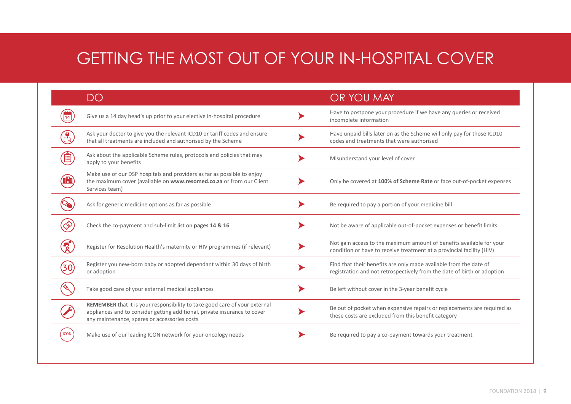### GETTING THE MOST OUT OF YOUR IN-HOSPITAL COVER

|             | DO                                                                                                                                                                                                      | OR YOU MAY                                                                                                                                    |
|-------------|---------------------------------------------------------------------------------------------------------------------------------------------------------------------------------------------------------|-----------------------------------------------------------------------------------------------------------------------------------------------|
|             | Give us a 14 day head's up prior to your elective in-hospital procedure                                                                                                                                 | Have to postpone your procedure if we have any queries or received<br>incomplete information                                                  |
|             | Ask your doctor to give you the relevant ICD10 or tariff codes and ensure<br>that all treatments are included and authorised by the Scheme                                                              | Have unpaid bills later on as the Scheme will only pay for those ICD10<br>codes and treatments that were authorised                           |
|             | Ask about the applicable Scheme rules, protocols and policies that may<br>apply to your benefits                                                                                                        | Misunderstand your level of cover                                                                                                             |
|             | Make use of our DSP hospitals and providers as far as possible to enjoy<br>the maximum cover (available on www.resomed.co.za or from our Client<br>Services team)                                       | Only be covered at 100% of Scheme Rate or face out-of-pocket expenses                                                                         |
|             | Ask for generic medicine options as far as possible                                                                                                                                                     | Be required to pay a portion of your medicine bill                                                                                            |
|             | Check the co-payment and sub-limit list on pages 14 & 16                                                                                                                                                | Not be aware of applicable out-of-pocket expenses or benefit limits                                                                           |
|             | Register for Resolution Health's maternity or HIV programmes (if relevant)                                                                                                                              | Not gain access to the maximum amount of benefits available for your<br>condition or have to receive treatment at a provincial facility (HIV) |
|             | Register you new-born baby or adopted dependant within 30 days of birth<br>or adoption                                                                                                                  | Find that their benefits are only made available from the date of<br>registration and not retrospectively from the date of birth or adoption  |
|             | Take good care of your external medical appliances                                                                                                                                                      | Be left without cover in the 3-year benefit cycle                                                                                             |
|             | REMEMBER that it is your responsibility to take good care of your external<br>appliances and to consider getting additional, private insurance to cover<br>any maintenance, spares or accessories costs | Be out of pocket when expensive repairs or replacements are required as<br>these costs are excluded from this benefit category                |
| <b>ICON</b> | Make use of our leading ICON network for your oncology needs                                                                                                                                            | Be required to pay a co-payment towards your treatment                                                                                        |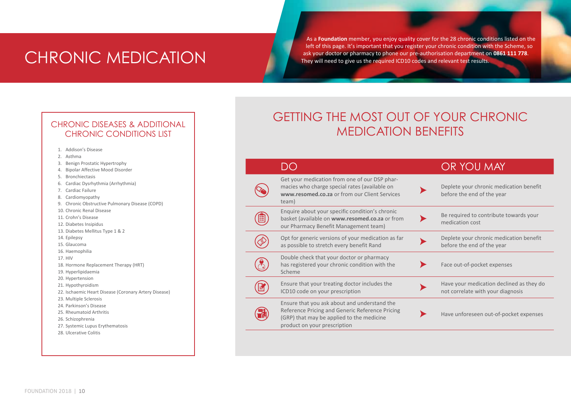### CHRONIC MEDICATION

As a **Foundation** member, you enjoy quality cover for the 28 chronic conditions listed on the left of this page. It's important that you register your chronic condition with the Scheme, so ask your doctor or pharmacy to phone our pre-authorisation department on **0861 111 778**. They will need to give us the required ICD10 codes and relevant test results.

#### CHRONIC DISEASES & ADDITIONAL CHRONIC CONDITIONS LIST

- 1. Addison's Disease
- 2. Asthma
- 3. Benign Prostatic Hypertrophy
- 4. Bipolar Affective Mood Disorder
- 5. Bronchiectasis
- 6. Cardiac Dysrhythmia (Arrhythmia)
- 7. Cardiac Failure
- 8. Cardiomyopathy
- 9. Chronic Obstructive Pulmonary Disease (COPD)
- 10. Chronic Renal Disease
- 11. Crohn's Disease
- 12. Diabetes Insipidus
- 13. Diabetes Mellitus Type 1 & 2
- 14. Epilepsy
- 15. Glaucoma
- 16. Haemophilia
- 17. HIV
- 18. Hormone Replacement Therapy (HRT)
- 19. Hyperlipidaemia
- 20. Hypertension
- 21. Hypothyroidism
- 22. Ischaemic Heart Disease (Coronary Artery Disease)
- 23. Multiple Sclerosis
- 24. Parkinson's Disease
- 25. Rheumatoid Arthritis
- 26. Schizophrenia
- 27. Systemic Lupus Erythematosis
- 28. Ulcerative Colitis

### GETTING THE MOST OUT OF YOUR CHRONIC MEDICATION BENEFITS

|                                                                                                                                                                              | OR YOU MAY                                                                    |
|------------------------------------------------------------------------------------------------------------------------------------------------------------------------------|-------------------------------------------------------------------------------|
| Get your medication from one of our DSP phar-<br>macies who charge special rates (available on<br>www.resomed.co.za or from our Client Services<br>team)                     | Deplete your chronic medication benefit<br>before the end of the year         |
| Enquire about your specific condition's chronic<br>basket (available on www.resomed.co.za or from<br>our Pharmacy Benefit Management team)                                   | Be required to contribute towards your<br>medication cost                     |
| Opt for generic versions of your medication as far<br>as possible to stretch every benefit Rand                                                                              | Deplete your chronic medication benefit<br>before the end of the year         |
| Double check that your doctor or pharmacy<br>has registered your chronic condition with the<br>Scheme                                                                        | Face out-of-pocket expenses                                                   |
| Ensure that your treating doctor includes the<br>ICD10 code on your prescription                                                                                             | Have your medication declined as they do<br>not correlate with your diagnosis |
| Ensure that you ask about and understand the<br>Reference Pricing and Generic Reference Pricing<br>(GRP) that may be applied to the medicine<br>product on your prescription | Have unforeseen out-of-pocket expenses                                        |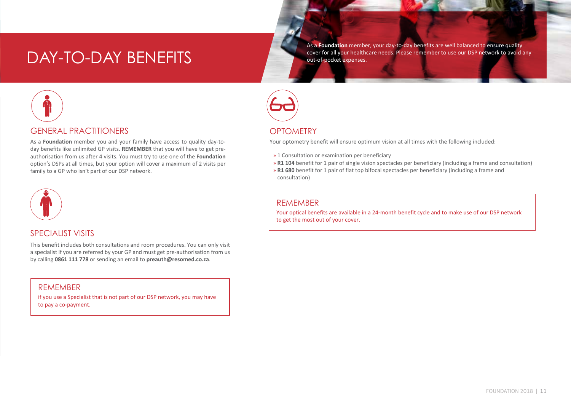### DAY-TO-DAY BENEFITS

As a **Foundation** member, your day-to-day benefits are well balanced to ensure quality cover for all your healthcare needs. Please remember to use our DSP network to avoid any out-of-pocket expenses.



#### GENERAL PRACTITIONERS

As a **Foundation** member you and your family have access to quality day-today benefits like unlimited GP visits. **REMEMBER** that you will have to get preauthorisation from us after 4 visits. You must try to use one of the **Foundation** option's DSPs at all times, but your option will cover a maximum of 2 visits per family to a GP who isn't part of our DSP network.



#### SPECIALIST VISITS

This benefit includes both consultations and room procedures. You can only visit a specialist if you are referred by your GP and must get pre-authorisation from us by calling **0861 111 778** or sending an email to **preauth@resomed.co.za**.

#### REMEMBER

if you use a Specialist that is not part of our DSP network, you may have to pay a co-payment.



#### **OPTOMETRY**

Your optometry benefit will ensure optimum vision at all times with the following included:

- » 1 Consultation or examination per beneficiary
- » **R1 104** benefit for 1 pair of single vision spectacles per beneficiary (including a frame and consultation)
- » **R1 680** benefit for 1 pair of flat top bifocal spectacles per beneficiary (including a frame and consultation)

#### REMEMBER

Your optical benefits are available in a 24-month benefit cycle and to make use of our DSP network to get the most out of your cover.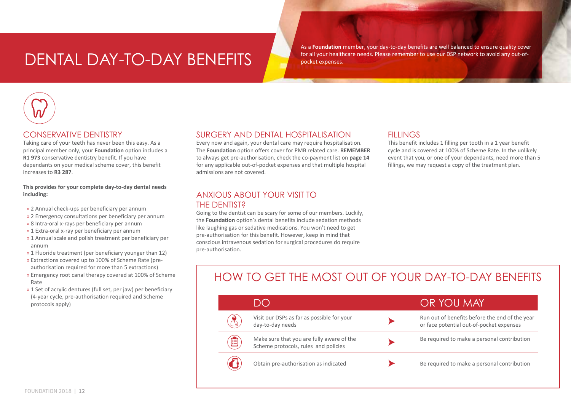### dental DAY-TO-DAY BENEFITS

As a **Foundation** member, your day-to-day benefits are well balanced to ensure quality cover for all your healthcare needs. Please remember to use our DSP network to avoid any out-ofpocket expenses.



#### CONSERVATIVE DENTISTRY

Taking care of your teeth has never been this easy. As a principal member only, your **Foundation** option includes a **R1 973** conservative dentistry benefit. If you have dependants on your medical scheme cover, this benefit increases to **R3 287**.

#### **This provides for your complete day-to-day dental needs including:**

- » 2 Annual check-ups per beneficiary per annum
- » 2 Emergency consultations per beneficiary per annum
- » 8 Intra-oral x-rays per beneficiary per annum
- » 1 Extra-oral x-ray per beneficiary per annum
- » 1 Annual scale and polish treatment per beneficiary per annum
- » 1 Fluoride treatment (per beneficiary younger than 12)
- » Extractions covered up to 100% of Scheme Rate (preauthorisation required for more than 5 extractions)
- » Emergency root canal therapy covered at 100% of Scheme Rate
- » 1 Set of acrylic dentures (full set, per jaw) per beneficiary (4-year cycle, pre-authorisation required and Scheme protocols apply)

#### SURGERY AND DENTAL HOSPITALISATION

Every now and again, your dental care may require hospitalisation. The **Foundation** option offers cover for PMB related care. **REMEMBER** to always get pre-authorisation, check the co-payment list on **page 14** for any applicable out-of-pocket expenses and that multiple hospital admissions are not covered.

#### ANXIOUS ABOUT YOUR VISIT TO THE DENTIST?

Going to the dentist can be scary for some of our members. Luckily, the **Foundation** option's dental benefits include sedation methods like laughing gas or sedative medications. You won't need to get pre-authorisation for this benefit. However, keep in mind that conscious intravenous sedation for surgical procedures do require pre-authorisation.

#### **FILLINGS**

This benefit includes 1 filling per tooth in a 1 year benefit cycle and is covered at 100% of Scheme Rate. In the unlikely event that you, or one of your dependants, need more than 5 fillings, we may request a copy of the treatment plan.

### HOW TO GET THE MOST OUT OF YOUR DAY-TO-DAY BENEFITS

|   | DO                                                                                | OR YOU MAY                                                                                 |
|---|-----------------------------------------------------------------------------------|--------------------------------------------------------------------------------------------|
|   | Visit our DSPs as far as possible for your<br>day-to-day needs                    | Run out of benefits before the end of the year<br>or face potential out-of-pocket expenses |
| 圁 | Make sure that you are fully aware of the<br>Scheme protocols, rules and policies | Be required to make a personal contribution                                                |
|   | Obtain pre-authorisation as indicated                                             | Be required to make a personal contribution                                                |
|   |                                                                                   |                                                                                            |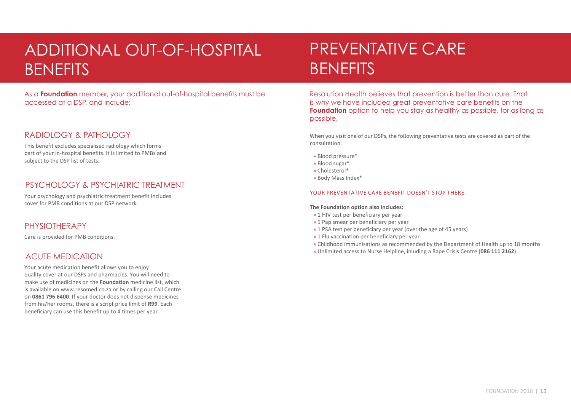### additional out-of-hospital **BENEFITS**

As a **Foundation** member, your additional out-of-hospital benefits must be accessed at a DSP, and include:

#### RADIOLOGY & PATHOLOGY

This benefit excludes specialised radiology which forms part of your in-hospital benefits. It is limited to PMBs and subject to the DSP list of tests.

#### PSYCHOLOGY & PSYCHIATRIC TREATMENT

Your psychology and psychiatric treatment benefit includes cover for PMB conditions at our DSP network.

#### **PHYSIOTHERAPY**

Care is provided for PMB conditions.

#### ACUTE MEDICATION

Your acute medication benefit allows you to enjoy quality cover at our DSPs and pharmacies. You will need to make use of medicines on the **Foundation** medicine list, which is available on www.resomed.co.za or by calling our Call Centre on **0861 796 6400**. If your doctor does not dispense medicines from his/her rooms, there is a script price limit of **R99**. Each beneficiary can use this benefit up to 4 times per year.

### PREVENTATIVE CARE **BENEFITS**

Resolution Health believes that prevention is better than cure. That is why we have included great preventative care benefits on the **Foundation** option to help you stay as healthy as possible, for as long as possible.

When you visit one of our DSPs, the following preventative tests are covered as part of the consultation:

- » Blood pressure\*
- » Blood sugar\*
- » Cholesterol\*
- » Body Mass Index\*

#### YOUR PREVENTATIVE CARE BENEFIT DOESN'T STOP THERE.

#### **The Foundation option also includes:**

- » 1 HIV test per beneficiary per year
- » 1 Pap smear per beneficiary per year
- » 1 PSA test per beneficiary per year (over the age of 45 years)
- » 1 Flu vaccination per beneficiary per year
- » Childhood immunisations as recommended by the Department of Health up to 18 months
- » Unlimited access to Nurse Helpline, inluding a Rape Crisis Centre (**086 111 2162**)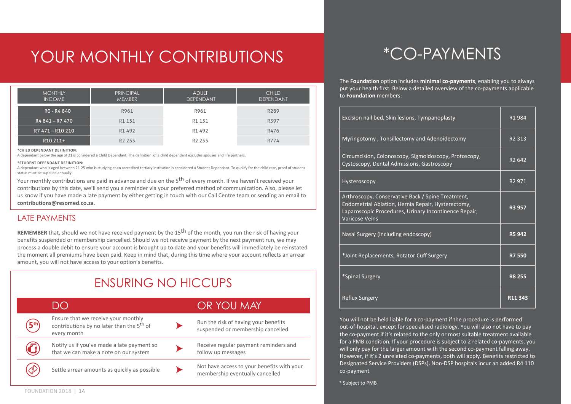### YOUR MONTHLY CONTRIBUTIONS

| <b>MONTHLY</b><br><b>INCOME</b> | <b>PRINCIPAL</b><br><b>MEMBER</b> | <b>ADULT</b><br><b>DEPENDANT</b> | <b>CHILD</b><br><b>DEPENDANT</b> |
|---------------------------------|-----------------------------------|----------------------------------|----------------------------------|
| RO - R4 840                     | R961                              | R961                             | R <sub>289</sub>                 |
| R4 841 - R7 470                 | R1 151                            | R1 151                           | R397                             |
| R7 471 - R10 210                | R1 492                            | R1 492                           | R476                             |
| R <sub>10</sub> 211+            | R <sub>2</sub> 255                | R <sub>2</sub> 255               | R774                             |

#### **\*Child Dependant Definition:**

A dependant below the age of 21 is considered a Child Dependant. The definition of a child dependant excludes spouses and life partners.

#### **\*Student Dependant Definition:**

A dependant who is aged between 21-25 who is studying at an accredited tertiary institution is considered a Student Dependant. To qualify for the child rate, proof of student status must be supplied annually.

Your monthly contributions are paid in advance and due on the 5<sup>th</sup> of every month. If we haven't received your contributions by this date, we'll send you a reminder via your preferred method of communication. Also, please let us know if you have made a late payment by either getting in touch with our Call Centre team or sending an email to **contributions@resomed.co.za**.

#### LATE PAYMENTS

**REMEMBER** that, should we not have received payment by the 15th of the month, you run the risk of having your benefits suspended or membership cancelled. Should we not receive payment by the next payment run, we may process a double debit to ensure your account is brought up to date and your benefits will immediately be reinstated the moment all premiums have been paid. Keep in mind that, during this time where your account reflects an arrear amount, you will not have access to your option's benefits.

### ENSURING NO Hiccups

|                 | $\Box$                                                                                                      | OR YOU MAY                                                                    |
|-----------------|-------------------------------------------------------------------------------------------------------------|-------------------------------------------------------------------------------|
| 5 <sup>th</sup> | Ensure that we receive your monthly<br>contributions by no later than the 5 <sup>th</sup> of<br>every month | Run the risk of having your benefits<br>suspended or membership cancelled     |
| <u>( )</u>      | Notify us if you've made a late payment so<br>that we can make a note on our system                         | Receive regular payment reminders and<br>follow up messages                   |
|                 | Settle arrear amounts as quickly as possible                                                                | Not have access to your benefits with your<br>membership eventually cancelled |

### \*Co-paymentS

The **Foundation** option includes **minimal co-payments**, enabling you to always put your health first. Below a detailed overview of the co-payments applicable to **Foundation** members:

| Excision nail bed, Skin lesions, Tympanoplasty                                                                                                                                            | R <sub>1</sub> 984 |
|-------------------------------------------------------------------------------------------------------------------------------------------------------------------------------------------|--------------------|
| Myringotomy, Tonsillectomy and Adenoidectomy                                                                                                                                              | R <sub>2</sub> 313 |
| Circumcision, Colonoscopy, Sigmoidoscopy, Protoscopy,<br>Cystoscopy, Dental Admissions, Gastroscopy                                                                                       | R <sub>2</sub> 642 |
| Hysteroscopy                                                                                                                                                                              | R <sub>2</sub> 971 |
| Arthroscopy, Conservative Back / Spine Treatment,<br>Endometrial Ablation, Hernia Repair, Hysterectomy,<br>Laparoscopic Procedures, Urinary Incontinence Repair,<br><b>Varicose Veins</b> | R3 957             |
| Nasal Surgery (including endoscopy)                                                                                                                                                       | R5 942             |
| *Joint Replacements, Rotator Cuff Surgery                                                                                                                                                 | <b>R7550</b>       |
| *Spinal Surgery                                                                                                                                                                           | <b>R8 255</b>      |
| <b>Reflux Surgery</b>                                                                                                                                                                     | R11 343            |

You will not be held liable for a co-payment if the procedure is performed out-of-hospital, except for specialised radiology. You will also not have to pay the co-payment if it's related to the only or most suitable treatment available for a PMB condition. If your procedure is subject to 2 related co-payments, you will only pay for the larger amount with the second co-payment falling away. However, if it's 2 unrelated co-payments, both will apply. Benefits restricted to Designated Service Providers (DSPs). Non-DSP hospitals incur an added R4 110 co-payment

\* Subject to PMB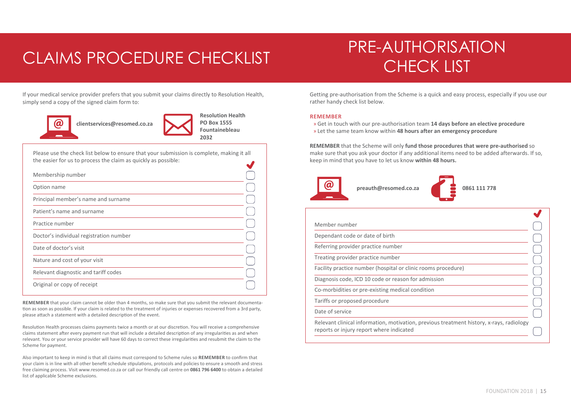### CLAIMS PROCEDURE CHECKLIST CHECK LIST

## PRE-AUTHORISATION

If your medical service provider prefers that you submit your claims directly to Resolution Health, simply send a copy of the signed claim form to:



 **clientservices@resomed.co.za** 



Please use the check list below to ensure that your submission is complete, making it all the easier for us to process the claim as quickly as possible:

| Membership number                       |  |
|-----------------------------------------|--|
| Option name                             |  |
| Principal member's name and surname     |  |
| Patient's name and surname              |  |
| Practice number                         |  |
| Doctor's individual registration number |  |
| Date of doctor's visit                  |  |
| Nature and cost of your visit           |  |
| Relevant diagnostic and tariff codes    |  |
| Original or copy of receipt             |  |

**REMEMBER** that your claim cannot be older than 4 months, so make sure that you submit the relevant documentation as soon as possible. If your claim is related to the treatment of injuries or expenses recovered from a 3rd party, please attach a statement with a detailed description of the event.

Resolution Health processes claims payments twice a month or at our discretion. You will receive a comprehensive claims statement after every payment run that will include a detailed description of any irregularities as and when relevant. You or your service provider will have 60 days to correct these irregularities and resubmit the claim to the Scheme for payment.

Also important to keep in mind is that all claims must correspond to Scheme rules so **remember** to confirm that your claim is in line with all other benefit schedule stipulations, protocols and policies to ensure a smooth and stress free claiming process. Visit www.resomed.co.za or call our friendly call centre on **0861 796 6400** to obtain a detailed list of applicable Scheme exclusions.

Getting pre-authorisation from the Scheme is a quick and easy process, especially if you use our rather handy check list below.

#### **REMEMBER**

» Get in touch with our pre-authorisation team **14 days before an elective procedure** » Let the same team know within **48 hours after an emergency procedure**

**REMEMBER** that the Scheme will only **fund those procedures that were pre-authorised** so make sure that you ask your doctor if any additional items need to be added afterwards. If so, keep in mind that you have to let us know **within 48 hours.**





| Member number                                                                            |  |
|------------------------------------------------------------------------------------------|--|
| Dependant code or date of birth                                                          |  |
| Referring provider practice number                                                       |  |
| Treating provider practice number                                                        |  |
| Facility practice number (hospital or clinic rooms procedure)                            |  |
| Diagnosis code, ICD 10 code or reason for admission                                      |  |
| Co-morbidities or pre-existing medical condition                                         |  |
| Tariffs or proposed procedure                                                            |  |
| Date of service                                                                          |  |
| Relevant clinical information, motivation, previous treatment history, x-rays, radiology |  |

reports or injury report where indicated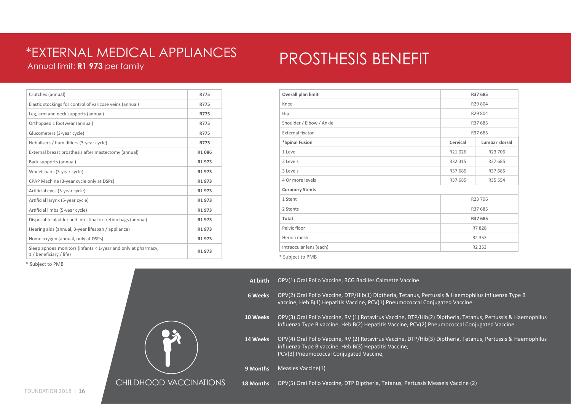#### Annual limit: **R1 973** per family \*EXTERNAL MEDICAL APPLIANCES

### PROSTHESIS BENEFIT

| Crutches (annual)                                                                        | R775               |
|------------------------------------------------------------------------------------------|--------------------|
| Elastic stockings for control of varicose veins (annual)                                 | R775               |
| Leg, arm and neck supports (annual)                                                      | R775               |
| Orthopaedic footwear (annual)                                                            | <b>R775</b>        |
| Glucometers (3-year cycle)                                                               | <b>R775</b>        |
| Nebulisers / humidifiers (3-year cycle)                                                  | R775               |
| External breast prosthesis after mastectomy (annual)                                     | R1086              |
| Back supports (annual)                                                                   | R1 973             |
| Wheelchairs (3-year cycle)                                                               | R <sub>1</sub> 973 |
| CPAP Machine (3-year cycle only at DSPs)                                                 | R <sub>1</sub> 973 |
| Artificial eyes (5-year cycle)                                                           | R1 973             |
| Artificial larynx (5-year cycle)                                                         | R1 973             |
| Artificial limbs (5-year cycle)                                                          | R1973              |
| Disposable bladder and intestinal excretion bags (annual)                                | R1 973             |
| Hearing aids (annual, 3-year lifespan / appliance)                                       | R <sub>1</sub> 973 |
| Home oxygen (annual, only at DSPs)                                                       | R <sub>1</sub> 973 |
| Sleep apnoea monitors (infants < 1-year and only at pharmacy,<br>1 / beneficiary / life) | R <sub>1</sub> 973 |
|                                                                                          |                    |

| Overall plan limit       |          | R37 685       |  |  |
|--------------------------|----------|---------------|--|--|
| Knee                     |          | R29 804       |  |  |
| Hip                      |          | R29 804       |  |  |
| Shoulder / Elbow / Ankle |          | R37 685       |  |  |
| <b>External fixator</b>  |          | R37 685       |  |  |
| *Spinal Fusion           | Cervical | Lumbar dorsal |  |  |
| 1 Level                  | R21026   | R23 706       |  |  |
| 2 Levels                 | R32 315  | R37 685       |  |  |
| 3 Levels                 | R37 685  | R37 685       |  |  |
| 4 Or more levels         | R37 685  | R35 554       |  |  |
| <b>Coronory Stents</b>   |          |               |  |  |
| 1 Stent                  |          | R23 706       |  |  |
| 2 Stents                 |          | R37 685       |  |  |
| Total                    |          | R37 685       |  |  |
| Pelvic floor             |          | R7828         |  |  |
| Hernia mesh              |          | R2 353        |  |  |
| Intraocular lens (each)  |          | R2 353        |  |  |

| At birth  | OPV(1) Oral Polio Vaccine, BCG Bacilles Calmette Vaccine                                                                                                                                                        |
|-----------|-----------------------------------------------------------------------------------------------------------------------------------------------------------------------------------------------------------------|
| 6 Weeks   | OPV(2) Oral Polio Vaccine, DTP/Hib(1) Diptheria, Tetanus, Pertussis & Haemophilus influenza Type B<br>vaccine, Heb B(1) Hepatitis Vaccine, PCV(1) Pneumococcal Conjugated Vaccine                               |
| 10 Weeks  | OPV(3) Oral Polio Vaccine, RV (1) Rotavirus Vaccine, DTP/Hib(2) Diptheria, Tetanus, Pertussis & Haemophilus<br>influenza Type B vaccine, Heb B(2) Hepatitis Vaccine, PCV(2) Pneumococcal Conjugated Vaccine     |
| 14 Weeks  | OPV(4) Oral Polio Vaccine, RV (2) Rotavirus Vaccine, DTP/Hib(3) Diptheria, Tetanus, Pertussis & Haemophilus<br>influenza Type B vaccine, Heb B(3) Hepatitis Vaccine,<br>PCV(3) Pneumococcal Conjugated Vaccine, |
| 9 Months  | Measles Vaccine(1)                                                                                                                                                                                              |
| 18 Months | OPV(5) Oral Polio Vaccine, DTP Diptheria, Tetanus, Pertussis Measels Vaccine (2)                                                                                                                                |

\* Subject to PMB

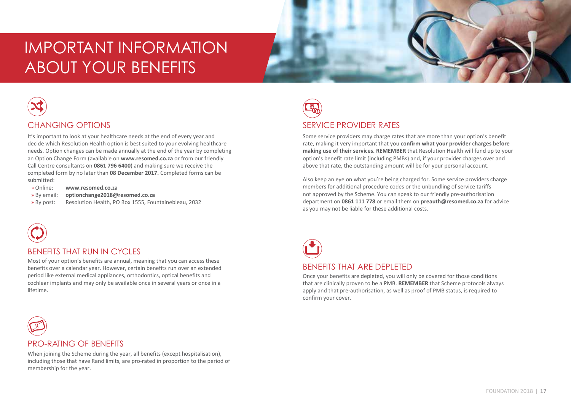### important information about your benefits



#### CHANGING OPTIONS

It's important to look at your healthcare needs at the end of every year and decide which Resolution Health option is best suited to your evolving healthcare needs. Option changes can be made annually at the end of the year by completing an Option Change Form (available on **www.resomed.co.za** or from our friendly Call Centre consultants on **0861 796 6400**) and making sure we receive the completed form by no later than **08 December 2017.** Completed forms can be submitted:

- » Online: **www.resomed.co.za**
- » By email: **optionchange2018@resomed.co.za**
- » By post: Resolution Health, PO Box 1555, Fountainebleau, 2032



#### BENEFITS THAT RUN IN CYCLES

Most of your option's benefits are annual, meaning that you can access these benefits over a calendar year. However, certain benefits run over an extended period like external medical appliances, orthodontics, optical benefits and cochlear implants and may only be available once in several years or once in a lifetime.



#### SERVICE PROVIDER RATES

Some service providers may charge rates that are more than your option's benefit rate, making it very important that you **confirm what your provider charges before making use of their services. REMEMBER** that Resolution Health will fund up to your option's benefit rate limit (including PMBs) and, if your provider charges over and above that rate, the outstanding amount will be for your personal account.

Also keep an eye on what you're being charged for. Some service providers charge members for additional procedure codes or the unbundling of service tariffs not approved by the Scheme. You can speak to our friendly pre-authorisation department on **0861 111 778** or email them on **preauth@resomed.co.za** for advice as you may not be liable for these additional costs.



Once your benefits are depleted, you will only be covered for those conditions that are clinically proven to be a PMB. **REMEMBER** that Scheme protocols always apply and that pre-authorisation, as well as proof of PMB status, is required to confirm your cover.

### R

#### PRO-RATING OF BENEFITS

including those that have Rand limits, are pro-rated in proportion to the period of membership for the vear When joining the Scheme during the year, all benefits (except hospitalisation). membership for the year.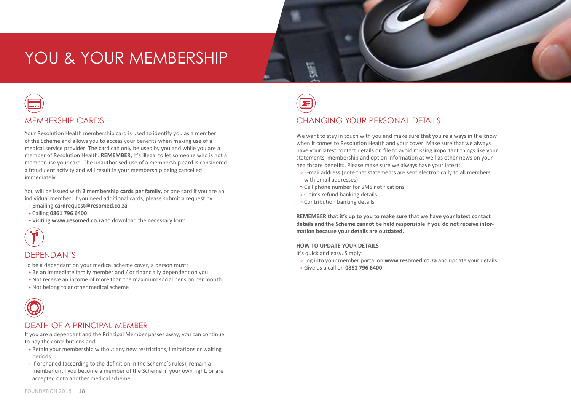### YOU & YOUR MEMBERSHIP



#### MEMBERSHIP CARDS

Your Resolution Health membership card is used to identify you as a member of the Scheme and allows you to access your benefits when making use of a medical service provider. The card can only be used by you and while you are a member of Resolution Health. **REMEMBER**, it's illegal to let someone who is not a member use your card. The unauthorised use of a membership card is considered a fraudulent activity and will result in your membership being cancelled immediately.

You will be issued with **2 membership cards per family,** or one card if you are an individual member. If you need additional cards, please submit a request by:

- » Emailing **cardrequest@resomed.co.za**
- » Calling **0861 796 6400**
- » Visiting **www.resomed.co.za** to download the necessary form



#### DEPENDANTS

To be a dependant on your medical scheme cover, a person must:

- » Be an immediate family member and / or financially dependent on you
- » Not receive an income of more than the maximum social pension per month
- » Not belong to another medical scheme



#### DEATH OF A PRINCIPAL MEMBER

If you are a dependant and the Principal Member passes away, you can continue to pay the contributions and:

- » Retain your membership without any new restrictions, limitations or waiting periods
- » If orphaned (according to the definition in the Scheme's rules), remain a member until you become a member of the Scheme in your own right, or are accepted onto another medical scheme



#### CHANGING YOUR PERSONAL DETAILS

We want to stay in touch with you and make sure that you're always in the know when it comes to Resolution Health and your cover. Make sure that we always have your latest contact details on file to avoid missing important things like your statements, membership and option information as well as other news on your healthcare benefits. Please make sure we always have your latest:

- » E-mail address (note that statements are sent electronically to all members with email addresses)
- » Cell phone number for SMS notifications
- » Claims refund banking details
- » Contribution banking details

**REMEMBER that it's up to you to make sure that we have your latest contact details and the Scheme cannot be held responsible if you do not receive information because your details are outdated.** 

#### **HOW TO UPDATE YOUR DETAILS**

It's quick and easy. Simply:

- » Log into your member portal on **www.resomed.co.za** and update your details
- » Give us a call on **0861 796 6400**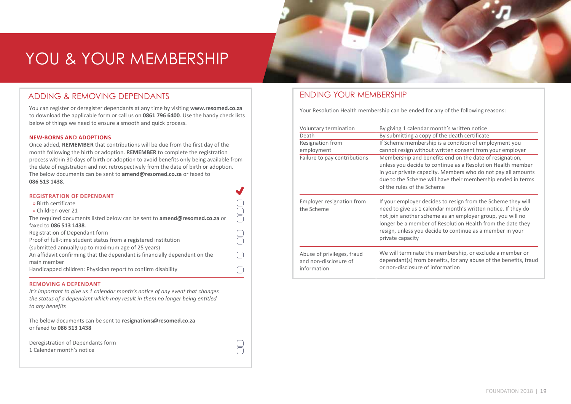### YOU & YOUR MEMBERSHIP

#### ADDING & REMOVING DEPENDANTS

You can register or deregister dependants at any time by visiting **www.resomed.co.za** to download the applicable form or call us on **0861 796 6400**. Use the handy check lists below of things we need to ensure a smooth and quick process.

#### **New-borns and adoptions**

Once added, **REMEMBER** that contributions will be due from the first day of the month following the birth or adoption. **REMEMBER** to complete the registration process within 30 days of birth or adoption to avoid benefits only being available from the date of registration and not retrospectively from the date of birth or adoption. The below documents can be sent to **amend@resomed.co.za** or faxed to **086 513 1438**.

| <b>REGISTRATION OF DEPENDANT</b>                                                 |  |
|----------------------------------------------------------------------------------|--|
| » Birth certificate                                                              |  |
| » Children over 21                                                               |  |
| The required documents listed below can be sent to <b>amend@resomed.co.za</b> or |  |
| faxed to 086 513 1438.                                                           |  |
| Registration of Dependant form                                                   |  |
| Proof of full-time student status from a registered institution                  |  |
| (submitted annually up to maximum age of 25 years)                               |  |
| An affidavit confirming that the dependant is financially dependent on the       |  |
| main member                                                                      |  |
| Handicapped children: Physician report to confirm disability                     |  |
|                                                                                  |  |

#### **Removing a dependant**

*It's important to give us 1 calendar month's notice of any event that changes the status of a dependant which may result in them no longer being entitled to any benefits* 

 $\Box$ 

The below documents can be sent to **resignations@resomed.co.za** or faxed to **086 513 1438** 

Deregistration of Dependants form 1 Calendar month's notice

#### ENDING YOUR MEMBERSHIP

Your Resolution Health membership can be ended for any of the following reasons:

| Voluntary termination<br>Death<br>Resignation from<br>employment<br>Failure to pay contributions | By giving 1 calendar month's written notice<br>By submitting a copy of the death certificate<br>If Scheme membership is a condition of employment you<br>cannot resign without written consent from your employer<br>Membership and benefits end on the date of resignation,<br>unless you decide to continue as a Resolution Health member<br>in your private capacity. Members who do not pay all amounts<br>due to the Scheme will have their membership ended in terms<br>of the rules of the Scheme |
|--------------------------------------------------------------------------------------------------|----------------------------------------------------------------------------------------------------------------------------------------------------------------------------------------------------------------------------------------------------------------------------------------------------------------------------------------------------------------------------------------------------------------------------------------------------------------------------------------------------------|
| Employer resignation from<br>the Scheme                                                          | If your employer decides to resign from the Scheme they will<br>need to give us 1 calendar month's written notice. If they do<br>not join another scheme as an employer group, you will no<br>longer be a member of Resolution Health from the date they<br>resign, unless you decide to continue as a member in your<br>private capacity                                                                                                                                                                |
| Abuse of privileges, fraud<br>and non-disclosure of<br>information                               | We will terminate the membership, or exclude a member or<br>dependant(s) from benefits, for any abuse of the benefits, fraud<br>or non-disclosure of information                                                                                                                                                                                                                                                                                                                                         |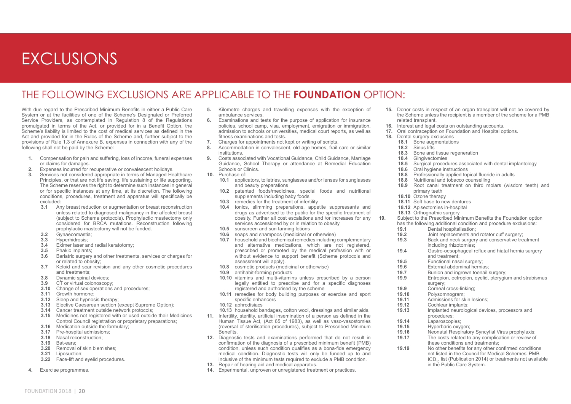### EXCLUSIONS

#### The following exclusions are applicable to the **Foundation** option:

With due regard to the Prescribed Minimum Benefits in either a Public Care System or at the facilities of one of the Scheme's Designated or Preferred Service Providers, as contemplated in Regulation 8 of the Regulations promulgated in terms of the Act, or provided for in a Benefit Option, the Scheme's liability is limited to the cost of medical services as defined in the Act and provided for in the Rules of the Scheme and, further subject to the provisions of Rule 1.3 of Annexure B, expenses in connection with any of the following shall not be paid by the Scheme:

- **1.** Compensation for pain and suffering, loss of income, funeral expenses or claims for damages.
- **2.** Expenses incurred for recuperative or convalescent holidays.
- **3.** Services not considered appropriate in terms of Managed Healthcare Principles, or that are not life saving, life sustaining or life supporting, The Scheme reserves the right to determine such instances in general or for specific instances at any time, at its discretion. The following conditions, procedures, treatment and apparatus will specifically be excluded:
	- **3.1** Any breast reduction or augmentation or breast reconstruction unless related to diagnosed malignancy in the affected breast (subject to Scheme protocols). Prophylactic mastectomy only considered for BRCA mutations. Reconstruction following prophylactic mastectomy will not be funded.
	- 3.2 Gynaecomastia;<br>3.3 Hyperhidrosis:
	- **3.3** Hyperhidrosis;
	- **3.4** Eximer laser and radial keratotomy;<br>**3.5** Phakic implants:
	- **3.5** Phakic implants;<br>**3.6** Bariatric surgery
	- **3.6** Bariatric surgery and other treatments, services or charges for or related to obesity;
	- **3.7** Keloid and scar revision and any other cosmetic procedures and treatments;
	- **3.8** Dynamic spinal devices;<br>**3.9** CT or virtual colonoscopy
	- $\overline{\text{CT}}$  or virtual colonoscopy;
	- **3.10** Change of sex operations and procedures;
	- **3.11** Growth hormone;
	- **3.12** Sleep and hypnosis therapy;
	- **3.13** Elective Caesarean section (except Supreme Option);
	- **3.14** Cancer treatment outside network protocols;
	- **3.15** Medicines not registered with or used outside their Medicines Control Council registration or proprietary preparations;
	- **3.16** Medication outside the formulary;
	- **3.17** Pre-hospital admissions;
	- **3.18** Nasal reconstruction;
	- **3.19** Bat-ears;
	- **3.20** Removal of skin blemishes;
	- **3.21** Liposuction;
	- **3.22** Face-lift and eyelid procedures.
- **4.** Exercise programmes.
- **5.** Kilometre charges and travelling expenses with the exception of ambulance services.
- **6.** Examinations and tests for the purpose of application for insurance policies, school camp, visa, employment, emigration or immigration, admission to schools or universities, medical court reports, as well as fitness examinations and tests.
- **7.** Charges for appointments not kept or writing of scripts.<br>**8.** Accommodation in convalescent, old age homes, frail
- **8.** Accommodation in convalescent, old age homes, frail care or similar institutions.
- **9.** Costs associated with Vocational Guidance, Child Guidance, Marriage Guidance, School Therapy or attendance at Remedial Education Schools or Clinics.
- **10.** Purchase of:
	- **10.1** applicators, toiletries, sunglasses and/or lenses for sunglasses and beauty preparations
	- **10.2** patented foods/medicines, special foods and nutritional supplements including baby foods
	- **10.3** remedies for the treatment of infertility
	- **10.4** tonics, slimming preparations, appetite suppressants and drugs as advertised to the public for the specific treatment of obesity. Further all cost escalations and /or increases for any services accessioned by or in relation to obesity
	- **10.5** sunscreen and sun tanning lotions
	- **10.6** soaps and shampoos (medicinal or otherwise)
	- **10.7** household and biochemical remedies including complementary and alternative medications, which are not registered. prescribed or promoted by the medical profession with or without evidence to support benefit (Scheme protocols and assessment will apply).
	- **10.8** cosmetic products (medicinal or otherwise)
	- **10.9** antihabit-forming products
	- **10.10** vitamins and multi-vitamins unless prescribed by a person legally entitled to prescribe and for a specific diagnoses registered and authorised by the scheme
	- **10.11** remedies for body building purposes or exercise and sport specific enhancers
	- **10.12** aphrodisiacs
	- **10.13** household bandages, cotton wool, dressings and similar aids.
- **11.** Infertility, sterility, artificial insemination of a person as defined in the Human Tissue Act, (Act 65 of 1983), as well as vaso-vasostomies (reversal of sterilisation procedures), subject to Prescribed Minimum Benefits.
- **12.** Diagnostic tests and examinations performed that do not result in confirmation of the diagnosis of a prescribed minimum benefit (PMB) condition, unless such condition qualifies as a bona-fide emergency medical condition. Diagnostic tests will only be funded up to and inclusive of the minimum tests required to exclude a PMB condition.
- **13.** Repair of hearing aid and medical apparatus.
- **14.** Experimental, unproven or unregistered treatment or practices.
- **15.** Donor costs in respect of an organ transplant will not be covered by the Scheme unless the recipient is a member of the scheme for a PMB related transplant.
- **16.** Interest and legal costs on outstanding accounts.
- **17.** Oral contraception on Foundation and Hospital options.<br>**18.** Dental surgery exclusions
	- **18.** Dental surgery exclusions
		- **18.1** Bone augmentations
		- **18.2** Sinus lifts
		-
		- 18.3 Bone and tissue regeneration<br>18.4 Gingivectomies
		- 18.4 Gingivectomies<br>18.5 Surgical proced
		- 18.5 Surgical procedures associated with dental implantology<br>18.6 Oral hygiene instructions
	- 18.6 Oral hygiene instructions<br>18.8 Professionally applied to
	- 18.8 Professionally applied topical fluoride in adults<br>18.8 Nutritional and tobacco counselling
	- 18.8 Nutritional and tobacco counselling<br>18.9 Root canal treatment on third m
	- **18.9** Root canal treatment on third molars (wisdom teeth) and primary teeth
	- **18.10** Ozone therapy
	- **18.11** Soft base to new dentures
	- **18.12** Apisectomies in-hospital
	- 18.13 Orthognathic surgery

**19.** Subject to the Prescribed Minimum Benefits the Foundation option

- has the following additional condition and procedure exclusions:
- **19.1 Dental hospitalisation**;<br>**19.2 Double Louis Contract Density**
- **19.2** Joint replacements and rotator cuff surgery;<br>**19.3** Back and neck surgery and conservative tre
- **19.3** Back and neck surgery and conservative treatment including rhizotomies;
- **19.4** Gastro-oesophageal reflux and hiatal hernia surgery and treatment;
- 
- **19.5** Functional nasal surgery;<br>**19.6** Fxternal abdominal hernia
- **19.6** External abdominal hernias;<br>**19.7** Bunion and ingrown toenail **19.7** Bunion and ingrown toenail surgery;<br>**19.9** Entropion, ectropion, evelid, ptervail
- **19.9** Entropion, ectropion, eyelid, pterygium and strabismus surgery;
- 
- 19.9 Corneal cross-linking;<br>19.10 Polysomnogram:
- **19.10** Polysomnogram;
- **19.11** Admissions for skin lesions;<br>**19.12** Cochlear implants:
- 19.12 Cochlear implants;<br>19.13 Implanted neurolog **19.13** Implanted neurological devices, processors and procedures;
	-
- 19.14 Laparoscopies;<br>**19.15** Hyperbaric oxydent
- **19.15** Hyperbaric oxygen;<br>**19.16** Neonatal Respirator
- **19.16** Neonatal Respiratory Syncytial Virus prophylaxis;<br>**19.17** The costs related to any complication or review of **19.17** The costs related to any complication or review of
- these conditions and treatments;
- **19.19** No other benefits for any other confirmed conditions not listed in the Council for Medical Schemes' PMB ICD<sub>1</sub> list (Publication 2014) or treatments not available in the Public Care System.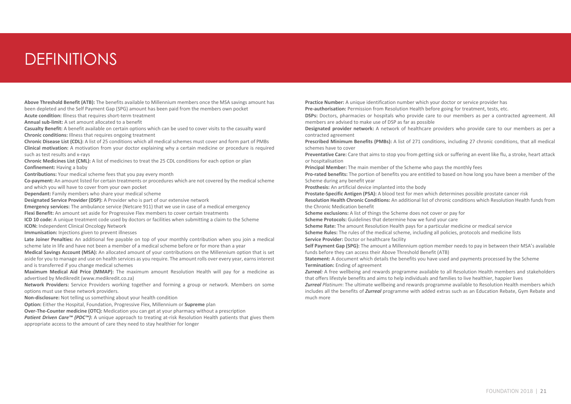### **DEFINITIONS**

**Above Threshold Benefit (ATB):** The benefits available to Millennium members once the MSA savings amount has been depleted and the Self Payment Gap (SPG) amount has been paid from the members own pocket

**Acute condition:** Illness that requires short-term treatment

**Annual sub-limit:** A set amount allocated to a benefit

**Casualty Benefit:** A benefit available on certain options which can be used to cover visits to the casualty ward **Chronic conditions:** Illness that requires ongoing treatment

**Chronic Disease List (CDL):** A list of 25 conditions which all medical schemes must cover and form part of PMBs **Clinical motivation:** A motivation from your doctor explaining why a certain medicine or procedure is required such as test results and x-rays

**Chronic Medicines List (CML):** A list of medicines to treat the 25 CDL conditions for each option or plan **Confinement:** Having a baby

**Contributions:** Your medical scheme fees that you pay every month

**Co-payment:** An amount listed for certain treatments or procedures which are not covered by the medical scheme and which you will have to cover from your own pocket

**Dependant:** Family members who share your medical scheme

**Designated Service Provider (DSP):** A Provider who is part of our extensive network

**Emergency services:** The ambulance service (Netcare 911) that we use in case of a medical emergency **Flexi Benefit:** An amount set aside for Progressive Flex members to cover certain treatments

**ICD 10 code:** A unique treatment code used by doctors or facilities when submitting a claim to the Scheme **ICON:** Independent Clinical Oncology Network

**Immunisation:** Injections given to prevent illnesses

**Late Joiner Penalties:** An additional fee payable on top of your monthly contribution when you join a medical scheme late in life and have not been a member of a medical scheme before or for more than a year

**Medical Savings Account (MSA):** An allocated amount of your contributions on the Millennium option that is set aside for you to manage and use on health services as you require. The amount rolls over every year, earns interest and is transferred if you change medical schemes

**Maximum Medical Aid Price (MMAP):** The maximum amount Resolution Health will pay for a medicine as advertised by Medikredit (www.medikredit.co.za)

**Network Providers:** Service Providers working together and forming a group or network. Members on some options must use these network providers.

**Non-disclosure:** Not telling us something about your health condition

**Option:** Either the Hospital, Foundation, Progressive Flex, Millennium or **Supreme** plan

**Over-The-Counter medicine (OTC):** Medication you can get at your pharmacy without a prescription

*Patient Driven Care™ (PDC™)*: A unique approach to treating at-risk Resolution Health patients that gives them appropriate access to the amount of care they need to stay healthier for longer

**Practice Number:** A unique identification number which your doctor or service provider has

**Pre-authorisation:** Permission from Resolution Health before going for treatment, tests, etc.

**DSPs:** Doctors, pharmacies or hospitals who provide care to our members as per a contracted agreement. All members are advised to make use of DSP as far as possible

**Designated provider network:** A network of healthcare providers who provide care to our members as per a contracted agreement

**Prescribed Minimum Benefits (PMBs):** A list of 271 conditions, including 27 chronic conditions, that all medical schemes have to cover

**Preventative Care:** Care that aims to stop you from getting sick or suffering an event like flu, a stroke, heart attack or hospitalisation

**Principal Member:** The main member of the Scheme who pays the monthly fees

**Pro-rated benefits:** The portion of benefits you are entitled to based on how long you have been a member of the Scheme during any benefit year

**Prosthesis:** An artificial device implanted into the body

**Prostate-Specific Antigen (PSA):** A blood test for men which determines possible prostate cancer risk

**Resolution Health Chronic Conditions:** An additional list of chronic conditions which Resolution Health funds from the Chronic Medication benefit

**Scheme exclusions:** A list of things the Scheme does not cover or pay for

**Scheme Protocols:** Guidelines that determine how we fund your care

**Scheme Rate:** The amount Resolution Health pays for a particular medicine or medical service

**Scheme Rules:** The rules of the medical scheme, including all policies, protocols and medicine lists

**Service Provider:** Doctor or healthcare facility

**Self Payment Gap (SPG):** The amount a Millennium option member needs to pay in between their MSA's available funds before they can access their Above Threshold Benefit (ATB)

**Statement:** A document which details the benefits you have used and payments processed by the Scheme **Termination:** Ending of agreement

*Zurreal:* A free wellbeing and rewards programme available to all Resolution Health members and stakeholders that offers lifestyle benefits and aims to help individuals and families to live healthier, happier lives

*Zurreal Platinum*: The ultimate wellbeing and rewards programme available to Resolution Health members which includes all the benefits of *Zurreal* programme with added extras such as an Education Rebate, Gym Rebate and much more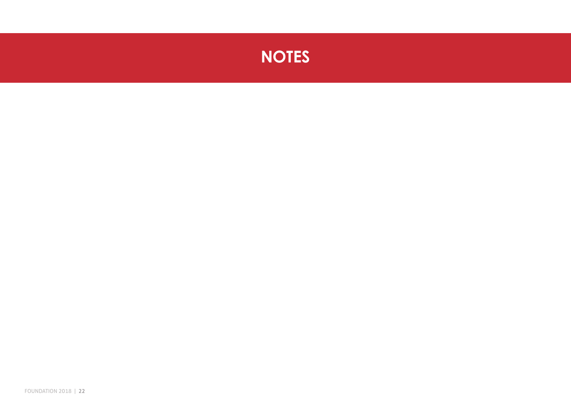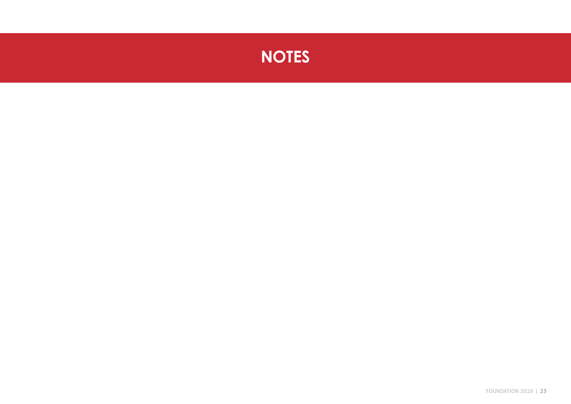